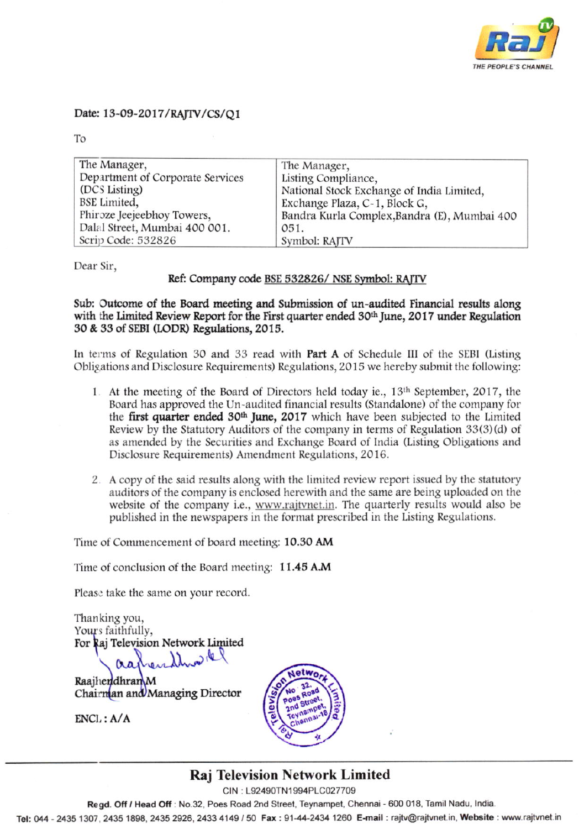

### Date: 13-09-2017/RAJTV/CS/Q1

To

| The Manager,                     | The Manager,                                 |
|----------------------------------|----------------------------------------------|
| Department of Corporate Services | Listing Compliance,                          |
| (DCS Listing)                    | National Stock Exchange of India Limited,    |
| <b>BSE</b> Limited,              | Exchange Plaza, C-1, Block G,                |
| Phiroze Jeejeebhoy Towers,       | Bandra Kurla Complex, Bandra (E), Mumbai 400 |
| Dalal Street, Mumbai 400 001.    | 051.                                         |
| Scrip Code: 532826               | Symbol: RAJTV                                |

Dear Sir.

### Ref: Company code BSE 532826/ NSE Symbol: RAJTV

Sub: Outcome of the Board meeting and Submission of un-audited Financial results along with the Limited Review Report for the First quarter ended 30<sup>th</sup> June, 2017 under Regulation 30 & 33 of SEBI (LODR) Regulations, 2015.

In terms of Regulation 30 and 33 read with **Part A** of Schedule III of the SEBI (Listing Obligations and Disclosure Requirements) Regulations, 2015 we hereby submit the following:

- 1. At the meeting of the Board of Directors held today ie., 13th September, 2017, the Board has approved the Un-audited financial results (Standalone) of the company for the first quarter ended 30<sup>th</sup> June, 2017 which have been subjected to the Limited Review by the Statutory Auditors of the company in terms of Regulation 33(3)(d) of as amended by the Securities and Exchange Board of India (Listing Obligations and Disclosure Requirements) Amendment Regulations, 2016.
- 2. A copy of the said results along with the limited review report issued by the statutory auditors of the company is enclosed herewith and the same are being uploaded on the website of the company i.e., www.rajtvnet.in. The quarterly results would also be published in the newspapers in the format prescribed in the Listing Regulations.

Time of Commencement of board meeting: 10.30 AM

Time of conclusion of the Board meeting: 11.45 A.M

Please take the same on your record.

Thanking you, Yours faithfully, For Raj Television Network Limited  $D_1Q$ 

RaajhendhranM Chairman and Managing Director

 $ENCL: A/A$ 



## **Raj Television Network Limited**

CIN: L92490TN1994PLC027709

Regd. Off / Head Off : No.32, Poes Road 2nd Street, Teynampet, Chennai - 600 018, Tamil Nadu, India.

Tel: 044 - 2435 1307, 2435 1898, 2435 2926, 2433 4149 / 50 Fax: 91-44-2434 1260 E-mail: rajtv@rajtvnet.in, Website: www.rajtvnet.in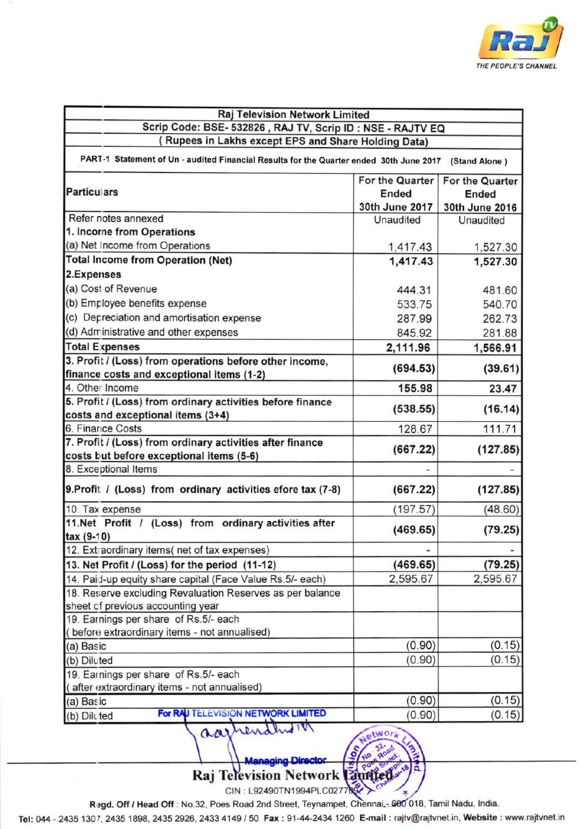

| (Rupees in Lakhs except EPS and Share Holding Data)<br>PART-1 Statement of Un - audited Financial Results for the Quarter ended 30th June 2017<br>(Stand Alone)<br>For the Quarter<br>For the Quarter<br><b>Particulars</b><br>Ended<br>Ended<br>30th June 2017<br>30th June 2016<br>Refer notes annexed<br>Unaudited<br>Unaudited<br>1. Incorne from Operations<br>(a) Net Income from Operations<br>1,417.43<br>1,527.30<br><b>Total Income from Operation (Net)</b><br>1,417.43<br>1,527.30<br>2.Expenses<br>(a) Cost of Revenue<br>444.31<br>481.60<br>(b) Employee benefits expense<br>533.75<br>540.70<br>(c) Depreciation and amortisation expense<br>287.99<br>262.73<br>(d) Administrative and other expenses<br>845.92<br>281.88<br><b>Total Expenses</b><br>2,111.96<br>1,566.91<br>3. Profit / (Loss) from operations before other income,<br>(694.53)<br>(39.61)<br>finance costs and exceptional items (1-2)<br>4. Other Income<br>155.98<br>23.47<br>5. Profit / (Loss) from ordinary activities before finance<br>(538.55)<br>(16.14)<br>costs and exceptional items (3+4)<br>128.67<br>111.71<br>7. Profit / (Loss) from ordinary activities after finance<br>(127.85)<br>(667.22)<br>costs but before exceptional items (5-6)<br>(667.22)<br>(127.85)<br>(197.57)<br>(48.60)<br>11.Net Profit / (Loss) from ordinary activities after<br>(469.65)<br>(79.25)<br>(79.25)<br>(469.65)<br>2,595.67<br>2,595.67<br>18. Reserve excluding Revaluation Reserves as per balance<br>sheet of previous accounting year<br>19. Earnings per share of Rs.5/- each<br>(before extraordinary items - not annualised)<br>(0.15)<br>(0.90)<br>(a) Basic<br>(0.15)<br>(0.90)<br>(b) Diluted<br>19. Earnings per share of Rs.5/- each<br>(after extraordinary items - not annualised)<br>(0.15)<br>(0.90)<br>(a) Basic | <b>Raj Television Network Limited</b>                       |  |        |  |  |
|-------------------------------------------------------------------------------------------------------------------------------------------------------------------------------------------------------------------------------------------------------------------------------------------------------------------------------------------------------------------------------------------------------------------------------------------------------------------------------------------------------------------------------------------------------------------------------------------------------------------------------------------------------------------------------------------------------------------------------------------------------------------------------------------------------------------------------------------------------------------------------------------------------------------------------------------------------------------------------------------------------------------------------------------------------------------------------------------------------------------------------------------------------------------------------------------------------------------------------------------------------------------------------------------------------------------------------------------------------------------------------------------------------------------------------------------------------------------------------------------------------------------------------------------------------------------------------------------------------------------------------------------------------------------------------------------------------------------------------------------------------------------------------------------------------------------------|-------------------------------------------------------------|--|--------|--|--|
|                                                                                                                                                                                                                                                                                                                                                                                                                                                                                                                                                                                                                                                                                                                                                                                                                                                                                                                                                                                                                                                                                                                                                                                                                                                                                                                                                                                                                                                                                                                                                                                                                                                                                                                                                                                                                         | Scrip Code: BSE- 532826, RAJ TV, Scrip ID: NSE - RAJTV EQ   |  |        |  |  |
|                                                                                                                                                                                                                                                                                                                                                                                                                                                                                                                                                                                                                                                                                                                                                                                                                                                                                                                                                                                                                                                                                                                                                                                                                                                                                                                                                                                                                                                                                                                                                                                                                                                                                                                                                                                                                         |                                                             |  |        |  |  |
|                                                                                                                                                                                                                                                                                                                                                                                                                                                                                                                                                                                                                                                                                                                                                                                                                                                                                                                                                                                                                                                                                                                                                                                                                                                                                                                                                                                                                                                                                                                                                                                                                                                                                                                                                                                                                         |                                                             |  |        |  |  |
|                                                                                                                                                                                                                                                                                                                                                                                                                                                                                                                                                                                                                                                                                                                                                                                                                                                                                                                                                                                                                                                                                                                                                                                                                                                                                                                                                                                                                                                                                                                                                                                                                                                                                                                                                                                                                         |                                                             |  |        |  |  |
|                                                                                                                                                                                                                                                                                                                                                                                                                                                                                                                                                                                                                                                                                                                                                                                                                                                                                                                                                                                                                                                                                                                                                                                                                                                                                                                                                                                                                                                                                                                                                                                                                                                                                                                                                                                                                         |                                                             |  |        |  |  |
|                                                                                                                                                                                                                                                                                                                                                                                                                                                                                                                                                                                                                                                                                                                                                                                                                                                                                                                                                                                                                                                                                                                                                                                                                                                                                                                                                                                                                                                                                                                                                                                                                                                                                                                                                                                                                         |                                                             |  |        |  |  |
|                                                                                                                                                                                                                                                                                                                                                                                                                                                                                                                                                                                                                                                                                                                                                                                                                                                                                                                                                                                                                                                                                                                                                                                                                                                                                                                                                                                                                                                                                                                                                                                                                                                                                                                                                                                                                         |                                                             |  |        |  |  |
|                                                                                                                                                                                                                                                                                                                                                                                                                                                                                                                                                                                                                                                                                                                                                                                                                                                                                                                                                                                                                                                                                                                                                                                                                                                                                                                                                                                                                                                                                                                                                                                                                                                                                                                                                                                                                         |                                                             |  |        |  |  |
|                                                                                                                                                                                                                                                                                                                                                                                                                                                                                                                                                                                                                                                                                                                                                                                                                                                                                                                                                                                                                                                                                                                                                                                                                                                                                                                                                                                                                                                                                                                                                                                                                                                                                                                                                                                                                         |                                                             |  |        |  |  |
|                                                                                                                                                                                                                                                                                                                                                                                                                                                                                                                                                                                                                                                                                                                                                                                                                                                                                                                                                                                                                                                                                                                                                                                                                                                                                                                                                                                                                                                                                                                                                                                                                                                                                                                                                                                                                         |                                                             |  |        |  |  |
|                                                                                                                                                                                                                                                                                                                                                                                                                                                                                                                                                                                                                                                                                                                                                                                                                                                                                                                                                                                                                                                                                                                                                                                                                                                                                                                                                                                                                                                                                                                                                                                                                                                                                                                                                                                                                         |                                                             |  |        |  |  |
|                                                                                                                                                                                                                                                                                                                                                                                                                                                                                                                                                                                                                                                                                                                                                                                                                                                                                                                                                                                                                                                                                                                                                                                                                                                                                                                                                                                                                                                                                                                                                                                                                                                                                                                                                                                                                         |                                                             |  |        |  |  |
|                                                                                                                                                                                                                                                                                                                                                                                                                                                                                                                                                                                                                                                                                                                                                                                                                                                                                                                                                                                                                                                                                                                                                                                                                                                                                                                                                                                                                                                                                                                                                                                                                                                                                                                                                                                                                         |                                                             |  |        |  |  |
|                                                                                                                                                                                                                                                                                                                                                                                                                                                                                                                                                                                                                                                                                                                                                                                                                                                                                                                                                                                                                                                                                                                                                                                                                                                                                                                                                                                                                                                                                                                                                                                                                                                                                                                                                                                                                         |                                                             |  |        |  |  |
|                                                                                                                                                                                                                                                                                                                                                                                                                                                                                                                                                                                                                                                                                                                                                                                                                                                                                                                                                                                                                                                                                                                                                                                                                                                                                                                                                                                                                                                                                                                                                                                                                                                                                                                                                                                                                         |                                                             |  |        |  |  |
|                                                                                                                                                                                                                                                                                                                                                                                                                                                                                                                                                                                                                                                                                                                                                                                                                                                                                                                                                                                                                                                                                                                                                                                                                                                                                                                                                                                                                                                                                                                                                                                                                                                                                                                                                                                                                         |                                                             |  |        |  |  |
|                                                                                                                                                                                                                                                                                                                                                                                                                                                                                                                                                                                                                                                                                                                                                                                                                                                                                                                                                                                                                                                                                                                                                                                                                                                                                                                                                                                                                                                                                                                                                                                                                                                                                                                                                                                                                         |                                                             |  |        |  |  |
|                                                                                                                                                                                                                                                                                                                                                                                                                                                                                                                                                                                                                                                                                                                                                                                                                                                                                                                                                                                                                                                                                                                                                                                                                                                                                                                                                                                                                                                                                                                                                                                                                                                                                                                                                                                                                         |                                                             |  |        |  |  |
|                                                                                                                                                                                                                                                                                                                                                                                                                                                                                                                                                                                                                                                                                                                                                                                                                                                                                                                                                                                                                                                                                                                                                                                                                                                                                                                                                                                                                                                                                                                                                                                                                                                                                                                                                                                                                         |                                                             |  |        |  |  |
|                                                                                                                                                                                                                                                                                                                                                                                                                                                                                                                                                                                                                                                                                                                                                                                                                                                                                                                                                                                                                                                                                                                                                                                                                                                                                                                                                                                                                                                                                                                                                                                                                                                                                                                                                                                                                         |                                                             |  |        |  |  |
|                                                                                                                                                                                                                                                                                                                                                                                                                                                                                                                                                                                                                                                                                                                                                                                                                                                                                                                                                                                                                                                                                                                                                                                                                                                                                                                                                                                                                                                                                                                                                                                                                                                                                                                                                                                                                         | 6. Finance Costs                                            |  |        |  |  |
|                                                                                                                                                                                                                                                                                                                                                                                                                                                                                                                                                                                                                                                                                                                                                                                                                                                                                                                                                                                                                                                                                                                                                                                                                                                                                                                                                                                                                                                                                                                                                                                                                                                                                                                                                                                                                         |                                                             |  |        |  |  |
|                                                                                                                                                                                                                                                                                                                                                                                                                                                                                                                                                                                                                                                                                                                                                                                                                                                                                                                                                                                                                                                                                                                                                                                                                                                                                                                                                                                                                                                                                                                                                                                                                                                                                                                                                                                                                         |                                                             |  |        |  |  |
|                                                                                                                                                                                                                                                                                                                                                                                                                                                                                                                                                                                                                                                                                                                                                                                                                                                                                                                                                                                                                                                                                                                                                                                                                                                                                                                                                                                                                                                                                                                                                                                                                                                                                                                                                                                                                         | 8. Exceptional Items                                        |  |        |  |  |
|                                                                                                                                                                                                                                                                                                                                                                                                                                                                                                                                                                                                                                                                                                                                                                                                                                                                                                                                                                                                                                                                                                                                                                                                                                                                                                                                                                                                                                                                                                                                                                                                                                                                                                                                                                                                                         | 9. Profit / (Loss) from ordinary activities efore tax (7-8) |  |        |  |  |
|                                                                                                                                                                                                                                                                                                                                                                                                                                                                                                                                                                                                                                                                                                                                                                                                                                                                                                                                                                                                                                                                                                                                                                                                                                                                                                                                                                                                                                                                                                                                                                                                                                                                                                                                                                                                                         | 10. Tax expense                                             |  |        |  |  |
|                                                                                                                                                                                                                                                                                                                                                                                                                                                                                                                                                                                                                                                                                                                                                                                                                                                                                                                                                                                                                                                                                                                                                                                                                                                                                                                                                                                                                                                                                                                                                                                                                                                                                                                                                                                                                         |                                                             |  |        |  |  |
|                                                                                                                                                                                                                                                                                                                                                                                                                                                                                                                                                                                                                                                                                                                                                                                                                                                                                                                                                                                                                                                                                                                                                                                                                                                                                                                                                                                                                                                                                                                                                                                                                                                                                                                                                                                                                         | tax (9-10)                                                  |  |        |  |  |
|                                                                                                                                                                                                                                                                                                                                                                                                                                                                                                                                                                                                                                                                                                                                                                                                                                                                                                                                                                                                                                                                                                                                                                                                                                                                                                                                                                                                                                                                                                                                                                                                                                                                                                                                                                                                                         | 12. Extraordinary items(net of tax expenses)                |  |        |  |  |
|                                                                                                                                                                                                                                                                                                                                                                                                                                                                                                                                                                                                                                                                                                                                                                                                                                                                                                                                                                                                                                                                                                                                                                                                                                                                                                                                                                                                                                                                                                                                                                                                                                                                                                                                                                                                                         | 13. Net Profit / (Loss) for the period (11-12)              |  |        |  |  |
|                                                                                                                                                                                                                                                                                                                                                                                                                                                                                                                                                                                                                                                                                                                                                                                                                                                                                                                                                                                                                                                                                                                                                                                                                                                                                                                                                                                                                                                                                                                                                                                                                                                                                                                                                                                                                         | 14. Paid-up equity share capital (Face Value Rs.5/- each)   |  |        |  |  |
|                                                                                                                                                                                                                                                                                                                                                                                                                                                                                                                                                                                                                                                                                                                                                                                                                                                                                                                                                                                                                                                                                                                                                                                                                                                                                                                                                                                                                                                                                                                                                                                                                                                                                                                                                                                                                         |                                                             |  |        |  |  |
|                                                                                                                                                                                                                                                                                                                                                                                                                                                                                                                                                                                                                                                                                                                                                                                                                                                                                                                                                                                                                                                                                                                                                                                                                                                                                                                                                                                                                                                                                                                                                                                                                                                                                                                                                                                                                         |                                                             |  |        |  |  |
|                                                                                                                                                                                                                                                                                                                                                                                                                                                                                                                                                                                                                                                                                                                                                                                                                                                                                                                                                                                                                                                                                                                                                                                                                                                                                                                                                                                                                                                                                                                                                                                                                                                                                                                                                                                                                         |                                                             |  |        |  |  |
|                                                                                                                                                                                                                                                                                                                                                                                                                                                                                                                                                                                                                                                                                                                                                                                                                                                                                                                                                                                                                                                                                                                                                                                                                                                                                                                                                                                                                                                                                                                                                                                                                                                                                                                                                                                                                         |                                                             |  |        |  |  |
|                                                                                                                                                                                                                                                                                                                                                                                                                                                                                                                                                                                                                                                                                                                                                                                                                                                                                                                                                                                                                                                                                                                                                                                                                                                                                                                                                                                                                                                                                                                                                                                                                                                                                                                                                                                                                         |                                                             |  |        |  |  |
|                                                                                                                                                                                                                                                                                                                                                                                                                                                                                                                                                                                                                                                                                                                                                                                                                                                                                                                                                                                                                                                                                                                                                                                                                                                                                                                                                                                                                                                                                                                                                                                                                                                                                                                                                                                                                         |                                                             |  |        |  |  |
|                                                                                                                                                                                                                                                                                                                                                                                                                                                                                                                                                                                                                                                                                                                                                                                                                                                                                                                                                                                                                                                                                                                                                                                                                                                                                                                                                                                                                                                                                                                                                                                                                                                                                                                                                                                                                         |                                                             |  |        |  |  |
|                                                                                                                                                                                                                                                                                                                                                                                                                                                                                                                                                                                                                                                                                                                                                                                                                                                                                                                                                                                                                                                                                                                                                                                                                                                                                                                                                                                                                                                                                                                                                                                                                                                                                                                                                                                                                         |                                                             |  |        |  |  |
|                                                                                                                                                                                                                                                                                                                                                                                                                                                                                                                                                                                                                                                                                                                                                                                                                                                                                                                                                                                                                                                                                                                                                                                                                                                                                                                                                                                                                                                                                                                                                                                                                                                                                                                                                                                                                         |                                                             |  |        |  |  |
| For RAU TELEVISION NETWORK LIMITED<br>(0.90)<br>aarhendhom                                                                                                                                                                                                                                                                                                                                                                                                                                                                                                                                                                                                                                                                                                                                                                                                                                                                                                                                                                                                                                                                                                                                                                                                                                                                                                                                                                                                                                                                                                                                                                                                                                                                                                                                                              | (b) Diluted                                                 |  | (0.15) |  |  |

**Managing Director Q** Raj Television Network Laufted CIN: L92490TN1994PLC02770

Regd. Off / Head Off : No.32, Poes Road 2nd Street, Teynampet, Chennai,-600 018, Tamil Nadu, India.

Tel: 044 - 2435 1307, 2435 1898, 2435 2926, 2433 4149 / 50 Fax: 91-44-2434 1260 E-mail: rajtv@rajtvnet.in, Website: www.rajtvnet.in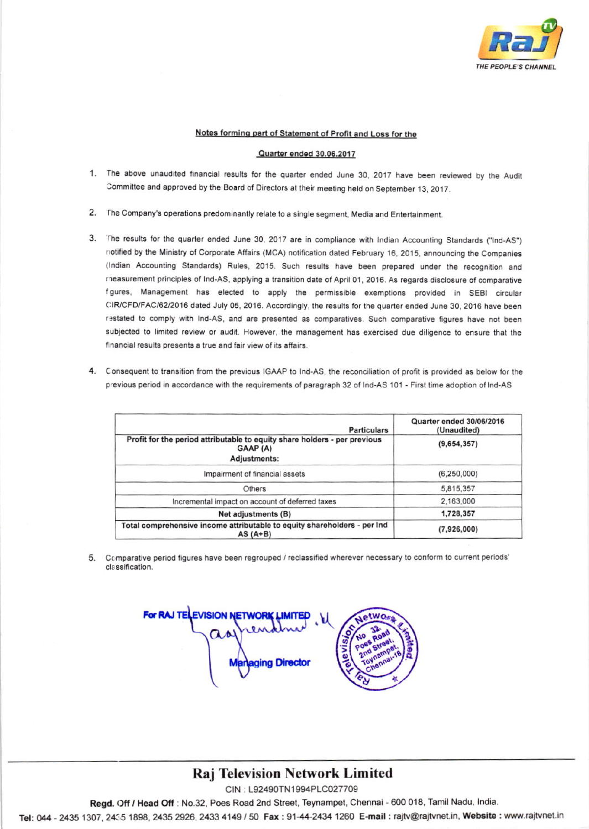

### Notes forming part of Statement of Profit and Loss for the

#### Quarter ended 30.06.2017

- 1. The above unaudited financial results for the quarter ended June 30, 2017 have been reviewed by the Audit Committee and approved by the Board of Directors at their meeting held on September 13, 2017.
- 2. The Company's operations predominantly relate to a single segment, Media and Entertainment.
- 3. The results for the quarter ended June 30, 2017 are in compliance with Indian Accounting Standards ("Ind-AS") notified by the Ministry of Corporate Affairs (MCA) notification dated February 16, 2015, announcing the Companies (Indian Accounting Standards) Rules, 2015. Such results have been prepared under the recognition and measurement principles of Ind-AS, applying a transition date of April 01, 2016. As regards disclosure of comparative figures, Management has elected to apply the permissible exemptions provided in SEBI circular CIR/CFD/FAC/62/2016 dated July 05, 2016. Accordingly, the results for the quarter ended June 30, 2016 have been restated to comply with Ind-AS, and are presented as comparatives. Such comparative figures have not been subjected to limited review or audit. However, the management has exercised due diligence to ensure that the financial results presents a true and fair view of its affairs.
- 4. Consequent to transition from the previous IGAAP to Ind-AS, the reconciliation of profit is provided as below for the previous period in accordance with the requirements of paragraph 32 of Ind-AS 101 - First time adoption of Ind-AS

| <b>Particulars</b>                                                                                    | Quarter ended 30/06/2016<br>(Unaudited) |  |
|-------------------------------------------------------------------------------------------------------|-----------------------------------------|--|
| Profit for the period attributable to equity share holders - per previous<br>GAAP (A)<br>Adjustments: | (9,654,357)                             |  |
| Impairment of financial assets                                                                        | (6, 250, 000)                           |  |
| Others                                                                                                | 5,815,357                               |  |
| Incremental impact on account of deferred taxes                                                       | 2,163,000                               |  |
| Net adjustments (B)                                                                                   | 1,728,357                               |  |
| Total comprehensive income attributable to equity shareholders - per Ind<br>AS $(A+B)$                | (7,926,000)                             |  |

5. Comparative period figures have been regrouped / reclassified wherever necessary to conform to current periods' classification.

**ing Director** 

# **Raj Television Network Limited**

CIN: L92490TN1994PLC027709

Regd. Off / Head Off : No.32, Poes Road 2nd Street, Teynampet, Chennai - 600 018, Tamil Nadu, India.

Tel: 044 - 2435 1307, 2435 1898, 2435 2926, 2433 4149 / 50 Fax: 91-44-2434 1260 E-mail: rajtv@rajtvnet.in, Website: www.rajtvnet.in